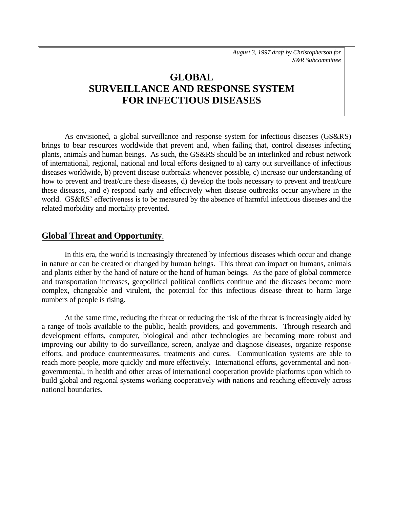*August 3, 1997 draft by Christopherson for S&R Subcommittee*

# **GLOBAL SURVEILLANCE AND RESPONSE SYSTEM FOR INFECTIOUS DISEASES**

As envisioned, a global surveillance and response system for infectious diseases (GS&RS) brings to bear resources worldwide that prevent and, when failing that, control diseases infecting plants, animals and human beings. As such, the GS&RS should be an interlinked and robust network of international, regional, national and local efforts designed to a) carry out surveillance of infectious diseases worldwide, b) prevent disease outbreaks whenever possible, c) increase our understanding of how to prevent and treat/cure these diseases, d) develop the tools necessary to prevent and treat/cure these diseases, and e) respond early and effectively when disease outbreaks occur anywhere in the world. GS&RS' effectiveness is to be measured by the absence of harmful infectious diseases and the related morbidity and mortality prevented.

#### **Global Threat and Opportunity**.

In this era, the world is increasingly threatened by infectious diseases which occur and change in nature or can be created or changed by human beings. This threat can impact on humans, animals and plants either by the hand of nature or the hand of human beings. As the pace of global commerce and transportation increases, geopolitical political conflicts continue and the diseases become more complex, changeable and virulent, the potential for this infectious disease threat to harm large numbers of people is rising.

At the same time, reducing the threat or reducing the risk of the threat is increasingly aided by a range of tools available to the public, health providers, and governments. Through research and development efforts, computer, biological and other technologies are becoming more robust and improving our ability to do surveillance, screen, analyze and diagnose diseases, organize response efforts, and produce countermeasures, treatments and cures. Communication systems are able to reach more people, more quickly and more effectively. International efforts, governmental and nongovernmental, in health and other areas of international cooperation provide platforms upon which to build global and regional systems working cooperatively with nations and reaching effectively across national boundaries.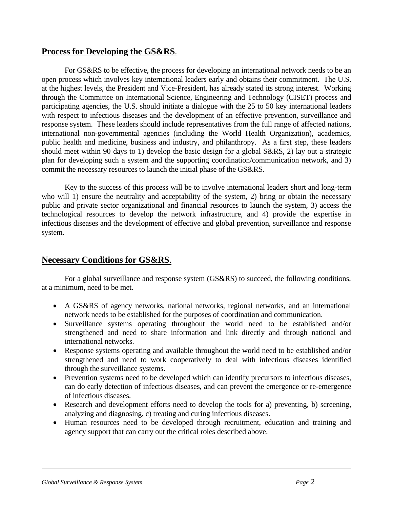#### **Process for Developing the GS&RS**.

For GS&RS to be effective, the process for developing an international network needs to be an open process which involves key international leaders early and obtains their commitment. The U.S. at the highest levels, the President and Vice-President, has already stated its strong interest. Working through the Committee on International Science, Engineering and Technology (CISET) process and participating agencies, the U.S. should initiate a dialogue with the 25 to 50 key international leaders with respect to infectious diseases and the development of an effective prevention, surveillance and response system. These leaders should include representatives from the full range of affected nations, international non-governmental agencies (including the World Health Organization), academics, public health and medicine, business and industry, and philanthropy. As a first step, these leaders should meet within 90 days to 1) develop the basic design for a global S&RS, 2) lay out a strategic plan for developing such a system and the supporting coordination/communication network, and 3) commit the necessary resources to launch the initial phase of the GS&RS.

Key to the success of this process will be to involve international leaders short and long-term who will 1) ensure the neutrality and acceptability of the system, 2) bring or obtain the necessary public and private sector organizational and financial resources to launch the system, 3) access the technological resources to develop the network infrastructure, and 4) provide the expertise in infectious diseases and the development of effective and global prevention, surveillance and response system.

## **Necessary Conditions for GS&RS**.

For a global surveillance and response system (GS&RS) to succeed, the following conditions, at a minimum, need to be met.

- A GS&RS of agency networks, national networks, regional networks, and an international network needs to be established for the purposes of coordination and communication.
- Surveillance systems operating throughout the world need to be established and/or strengthened and need to share information and link directly and through national and international networks.
- Response systems operating and available throughout the world need to be established and/or strengthened and need to work cooperatively to deal with infectious diseases identified through the surveillance systems.
- Prevention systems need to be developed which can identify precursors to infectious diseases, can do early detection of infectious diseases, and can prevent the emergence or re-emergence of infectious diseases.
- Research and development efforts need to develop the tools for a) preventing, b) screening, analyzing and diagnosing, c) treating and curing infectious diseases.
- Human resources need to be developed through recruitment, education and training and agency support that can carry out the critical roles described above.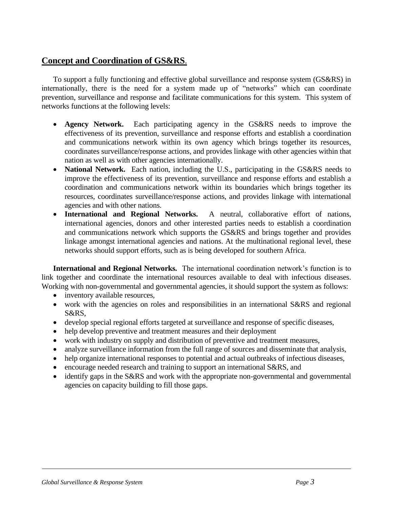# **Concept and Coordination of GS&RS**.

To support a fully functioning and effective global surveillance and response system (GS&RS) in internationally, there is the need for a system made up of "networks" which can coordinate prevention, surveillance and response and facilitate communications for this system. This system of networks functions at the following levels:

- **Agency Network.** Each participating agency in the GS&RS needs to improve the effectiveness of its prevention, surveillance and response efforts and establish a coordination and communications network within its own agency which brings together its resources, coordinates surveillance/response actions, and provides linkage with other agencies within that nation as well as with other agencies internationally.
- **National Network.** Each nation, including the U.S., participating in the GS&RS needs to improve the effectiveness of its prevention, surveillance and response efforts and establish a coordination and communications network within its boundaries which brings together its resources, coordinates surveillance/response actions, and provides linkage with international agencies and with other nations.
- **International and Regional Networks.** A neutral, collaborative effort of nations, international agencies, donors and other interested parties needs to establish a coordination and communications network which supports the GS&RS and brings together and provides linkage amongst international agencies and nations. At the multinational regional level, these networks should support efforts, such as is being developed for southern Africa.

**International and Regional Networks.** The international coordination network's function is to link together and coordinate the international resources available to deal with infectious diseases. Working with non-governmental and governmental agencies, it should support the system as follows:

- inventory available resources,
- work with the agencies on roles and responsibilities in an international S&RS and regional S&RS,
- develop special regional efforts targeted at surveillance and response of specific diseases,
- help develop preventive and treatment measures and their deployment
- work with industry on supply and distribution of preventive and treatment measures,
- analyze surveillance information from the full range of sources and disseminate that analysis,
- help organize international responses to potential and actual outbreaks of infectious diseases,
- encourage needed research and training to support an international S&RS, and
- identify gaps in the S&RS and work with the appropriate non-governmental and governmental agencies on capacity building to fill those gaps.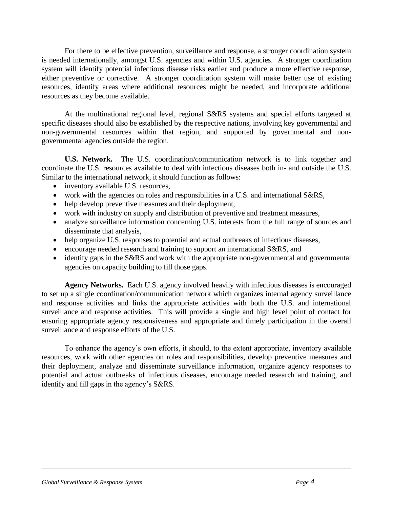For there to be effective prevention, surveillance and response, a stronger coordination system is needed internationally, amongst U.S. agencies and within U.S. agencies. A stronger coordination system will identify potential infectious disease risks earlier and produce a more effective response, either preventive or corrective. A stronger coordination system will make better use of existing resources, identify areas where additional resources might be needed, and incorporate additional resources as they become available.

At the multinational regional level, regional S&RS systems and special efforts targeted at specific diseases should also be established by the respective nations, involving key governmental and non-governmental resources within that region, and supported by governmental and nongovernmental agencies outside the region.

**U.S. Network.** The U.S. coordination/communication network is to link together and coordinate the U.S. resources available to deal with infectious diseases both in- and outside the U.S. Similar to the international network, it should function as follows:

- inventory available U.S. resources,
- work with the agencies on roles and responsibilities in a U.S. and international S&RS,
- help develop preventive measures and their deployment,
- work with industry on supply and distribution of preventive and treatment measures,
- analyze surveillance information concerning U.S. interests from the full range of sources and disseminate that analysis,
- help organize U.S. responses to potential and actual outbreaks of infectious diseases,
- encourage needed research and training to support an international S&RS, and
- identify gaps in the S&RS and work with the appropriate non-governmental and governmental agencies on capacity building to fill those gaps.

**Agency Networks.** Each U.S. agency involved heavily with infectious diseases is encouraged to set up a single coordination/communication network which organizes internal agency surveillance and response activities and links the appropriate activities with both the U.S. and international surveillance and response activities. This will provide a single and high level point of contact for ensuring appropriate agency responsiveness and appropriate and timely participation in the overall surveillance and response efforts of the U.S.

To enhance the agency's own efforts, it should, to the extent appropriate, inventory available resources, work with other agencies on roles and responsibilities, develop preventive measures and their deployment, analyze and disseminate surveillance information, organize agency responses to potential and actual outbreaks of infectious diseases, encourage needed research and training, and identify and fill gaps in the agency's S&RS.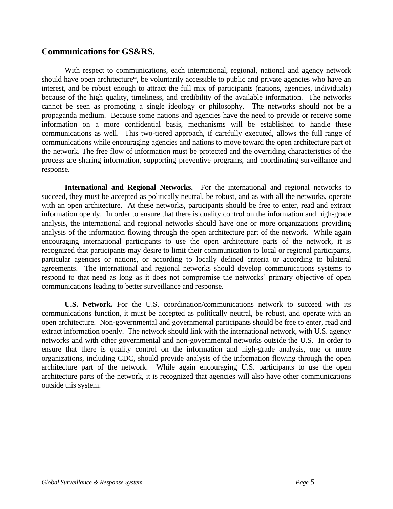## **Communications for GS&RS.**

With respect to communications, each international, regional, national and agency network should have open architecture\*, be voluntarily accessible to public and private agencies who have an interest, and be robust enough to attract the full mix of participants (nations, agencies, individuals) because of the high quality, timeliness, and credibility of the available information. The networks cannot be seen as promoting a single ideology or philosophy. The networks should not be a propaganda medium. Because some nations and agencies have the need to provide or receive some information on a more confidential basis, mechanisms will be established to handle these communications as well. This two-tiered approach, if carefully executed, allows the full range of communications while encouraging agencies and nations to move toward the open architecture part of the network. The free flow of information must be protected and the overriding characteristics of the process are sharing information, supporting preventive programs, and coordinating surveillance and response.

**International and Regional Networks.** For the international and regional networks to succeed, they must be accepted as politically neutral, be robust, and as with all the networks, operate with an open architecture. At these networks, participants should be free to enter, read and extract information openly. In order to ensure that there is quality control on the information and high-grade analysis, the international and regional networks should have one or more organizations providing analysis of the information flowing through the open architecture part of the network. While again encouraging international participants to use the open architecture parts of the network, it is recognized that participants may desire to limit their communication to local or regional participants, particular agencies or nations, or according to locally defined criteria or according to bilateral agreements. The international and regional networks should develop communications systems to respond to that need as long as it does not compromise the networks' primary objective of open communications leading to better surveillance and response.

**U.S. Network.** For the U.S. coordination/communications network to succeed with its communications function, it must be accepted as politically neutral, be robust, and operate with an open architecture. Non-governmental and governmental participants should be free to enter, read and extract information openly. The network should link with the international network, with U.S. agency networks and with other governmental and non-governmental networks outside the U.S. In order to ensure that there is quality control on the information and high-grade analysis, one or more organizations, including CDC, should provide analysis of the information flowing through the open architecture part of the network. While again encouraging U.S. participants to use the open architecture parts of the network, it is recognized that agencies will also have other communications outside this system.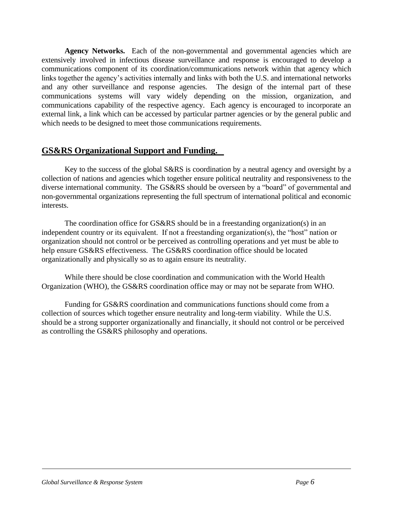Agency Networks. Each of the non-governmental and governmental agencies which are extensively involved in infectious disease surveillance and response is encouraged to develop a communications component of its coordination/communications network within that agency which links together the agency's activities internally and links with both the U.S. and international networks and any other surveillance and response agencies. The design of the internal part of these communications systems will vary widely depending on the mission, organization, and communications capability of the respective agency. Each agency is encouraged to incorporate an external link, a link which can be accessed by particular partner agencies or by the general public and which needs to be designed to meet those communications requirements.

#### **GS&RS Organizational Support and Funding.**

Key to the success of the global S&RS is coordination by a neutral agency and oversight by a collection of nations and agencies which together ensure political neutrality and responsiveness to the diverse international community. The GS&RS should be overseen by a "board" of governmental and non-governmental organizations representing the full spectrum of international political and economic interests.

The coordination office for GS&RS should be in a freestanding organization(s) in an independent country or its equivalent. If not a freestanding organization(s), the "host" nation or organization should not control or be perceived as controlling operations and yet must be able to help ensure GS&RS effectiveness. The GS&RS coordination office should be located organizationally and physically so as to again ensure its neutrality.

While there should be close coordination and communication with the World Health Organization (WHO), the GS&RS coordination office may or may not be separate from WHO.

Funding for GS&RS coordination and communications functions should come from a collection of sources which together ensure neutrality and long-term viability. While the U.S. should be a strong supporter organizationally and financially, it should not control or be perceived as controlling the GS&RS philosophy and operations.